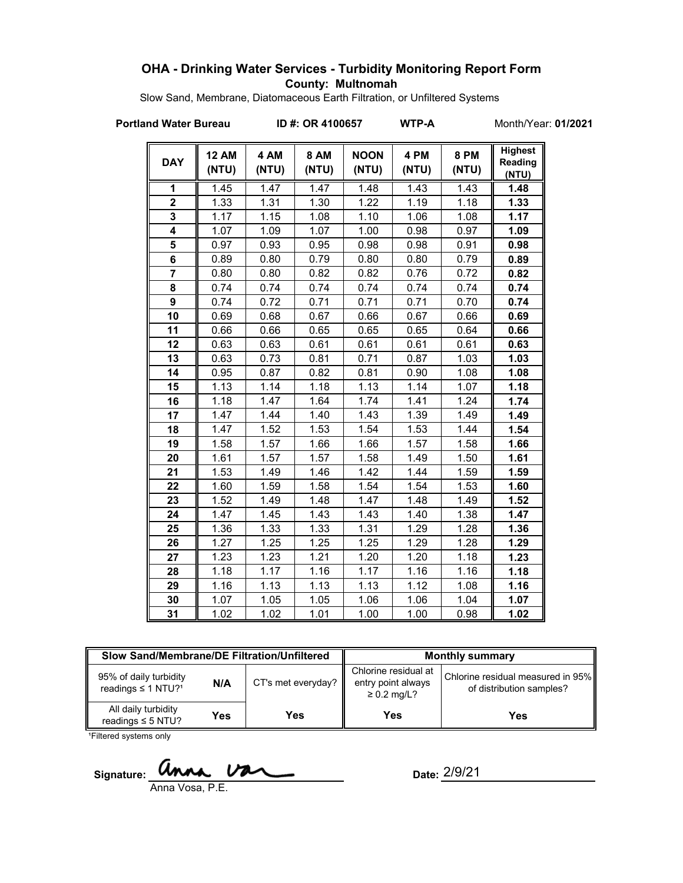### **OHA - Drinking Water Services - Turbidity Monitoring Report Form County: Multnomah**

Slow Sand, Membrane, Diatomaceous Earth Filtration, or Unfiltered Systems

**Portland Water Bureau ID #: OR 4100657 WTP-A** Month/Year: **01/2021**

| <b>DAY</b>              | <b>12 AM</b><br>(NTU) | 4 AM<br>(NTU) | <b>8 AM</b><br>(NTU) | <b>NOON</b><br>(NTU) | 4 PM<br>(NTU) | <b>8 PM</b><br>(NTU) | <b>Highest</b><br>Reading<br>(NTU) |
|-------------------------|-----------------------|---------------|----------------------|----------------------|---------------|----------------------|------------------------------------|
| 1                       | 1.45                  | 1.47          | 1.47                 | 1.48                 | 1.43          | 1.43                 | 1.48                               |
| $\overline{\mathbf{2}}$ | 1.33                  | 1.31          | 1.30                 | 1.22                 | 1.19          | 1.18                 | 1.33                               |
| 3                       | 1.17                  | 1.15          | 1.08                 | 1.10                 | 1.06          | 1.08                 | 1.17                               |
| 4                       | 1.07                  | 1.09          | 1.07                 | 1.00                 | 0.98          | 0.97                 | 1.09                               |
| 5                       | 0.97                  | 0.93          | 0.95                 | 0.98                 | 0.98          | 0.91                 | 0.98                               |
| 6                       | 0.89                  | 0.80          | 0.79                 | 0.80                 | 0.80          | 0.79                 | 0.89                               |
| $\overline{7}$          | 0.80                  | 0.80          | 0.82                 | 0.82                 | 0.76          | 0.72                 | 0.82                               |
| 8                       | 0.74                  | 0.74          | 0.74                 | 0.74                 | 0.74          | 0.74                 | 0.74                               |
| 9                       | 0.74                  | 0.72          | 0.71                 | 0.71                 | 0.71          | 0.70                 | 0.74                               |
| 10                      | 0.69                  | 0.68          | 0.67                 | 0.66                 | 0.67          | 0.66                 | 0.69                               |
| 11                      | 0.66                  | 0.66          | 0.65                 | 0.65                 | 0.65          | 0.64                 | 0.66                               |
| 12                      | 0.63                  | 0.63          | 0.61                 | 0.61                 | 0.61          | 0.61                 | 0.63                               |
| 13                      | 0.63                  | 0.73          | 0.81                 | 0.71                 | 0.87          | 1.03                 | 1.03                               |
| 14                      | 0.95                  | 0.87          | 0.82                 | 0.81                 | 0.90          | 1.08                 | 1.08                               |
| 15                      | 1.13                  | 1.14          | 1.18                 | 1.13                 | 1.14          | 1.07                 | 1.18                               |
| 16                      | 1.18                  | 1.47          | 1.64                 | 1.74                 | 1.41          | 1.24                 | 1.74                               |
| 17                      | 1.47                  | 1.44          | 1.40                 | 1.43                 | 1.39          | 1.49                 | 1.49                               |
| 18                      | 1.47                  | 1.52          | 1.53                 | 1.54                 | 1.53          | 1.44                 | 1.54                               |
| 19                      | 1.58                  | 1.57          | 1.66                 | 1.66                 | 1.57          | 1.58                 | 1.66                               |
| 20                      | 1.61                  | 1.57          | 1.57                 | 1.58                 | 1.49          | 1.50                 | 1.61                               |
| 21                      | 1.53                  | 1.49          | 1.46                 | 1.42                 | 1.44          | 1.59                 | 1.59                               |
| 22                      | 1.60                  | 1.59          | 1.58                 | 1.54                 | 1.54          | 1.53                 | 1.60                               |
| 23                      | 1.52                  | 1.49          | 1.48                 | 1.47                 | 1.48          | 1.49                 | 1.52                               |
| 24                      | 1.47                  | 1.45          | 1.43                 | 1.43                 | 1.40          | 1.38                 | 1.47                               |
| 25                      | 1.36                  | 1.33          | 1.33                 | 1.31                 | 1.29          | 1.28                 | 1.36                               |
| 26                      | 1.27                  | 1.25          | 1.25                 | 1.25                 | 1.29          | 1.28                 | 1.29                               |
| 27                      | 1.23                  | 1.23          | 1.21                 | 1.20                 | 1.20          | 1.18                 | 1.23                               |
| 28                      | 1.18                  | 1.17          | 1.16                 | 1.17                 | 1.16          | 1.16                 | 1.18                               |
| 29                      | 1.16                  | 1.13          | 1.13                 | 1.13                 | 1.12          | 1.08                 | 1.16                               |
| 30                      | 1.07                  | 1.05          | 1.05                 | 1.06                 | 1.06          | 1.04                 | 1.07                               |
| 31                      | 1.02                  | 1.02          | 1.01                 | 1.00                 | 1.00          | 0.98                 | 1.02                               |

| Slow Sand/Membrane/DE Filtration/Unfiltered                          |     |                                | <b>Monthly summary</b>                                         |                                                               |  |
|----------------------------------------------------------------------|-----|--------------------------------|----------------------------------------------------------------|---------------------------------------------------------------|--|
| 95% of daily turbidity<br>N/A<br>readings $\leq$ 1 NTU? <sup>1</sup> |     | CT's met everyday? $\parallel$ | Chlorine residual at<br>entry point always<br>$\geq 0.2$ mg/L? | Chlorine residual measured in 95%<br>of distribution samples? |  |
| All daily turbidity<br>readings $\leq$ 5 NTU?                        | Yes | Yes                            | Yes                                                            | Yes                                                           |  |

<sup>1</sup>Filtered systems only

Signature: *anne van* 

Anna Vosa, P.E.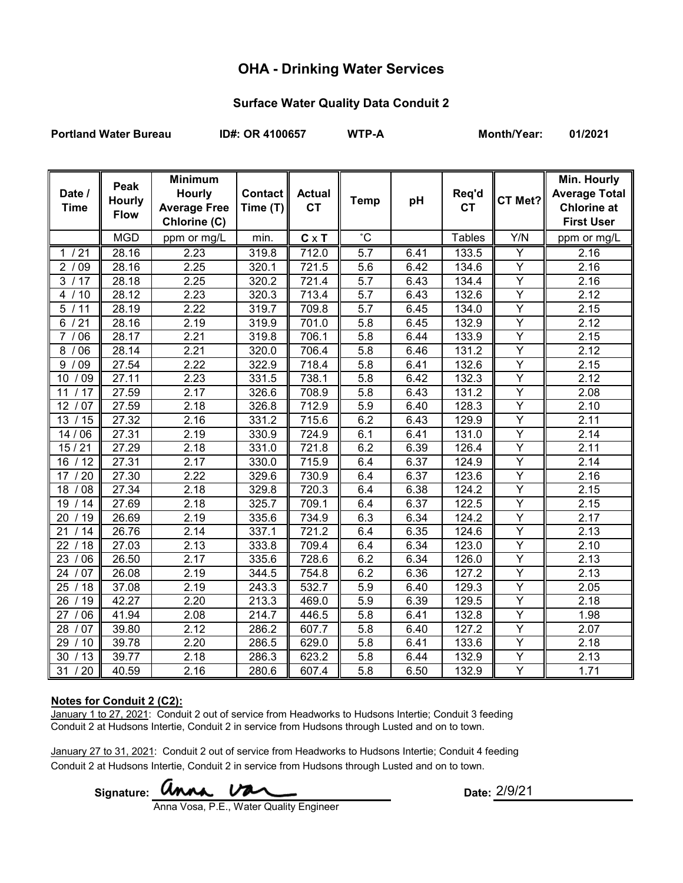## **OHA - Drinking Water Services**

### **Surface Water Quality Data Conduit 2**

**Portland Water Bureau ID#: OR 4100657 WTP-A Month/Year: 01/2021**

| Date /<br><b>Time</b> | Peak<br>Hourly<br><b>Flow</b> | <b>Minimum</b><br><b>Hourly</b><br><b>Average Free</b><br>Chlorine (C) | <b>Contact</b><br>Time (T) | <b>Actual</b><br><b>CT</b> | <b>Temp</b>      | pH   | Req'd<br><b>CT</b> | CT Met?                 | <b>Min. Hourly</b><br><b>Average Total</b><br><b>Chlorine at</b><br><b>First User</b> |
|-----------------------|-------------------------------|------------------------------------------------------------------------|----------------------------|----------------------------|------------------|------|--------------------|-------------------------|---------------------------------------------------------------------------------------|
|                       | <b>MGD</b>                    | ppm or mg/L                                                            | min.                       | $C \times T$               | $^{\circ}$ C     |      | <b>Tables</b>      | Y/N                     | ppm or mg/L                                                                           |
| 1/21                  | 28.16                         | 2.23                                                                   | 319.8                      | 712.0                      | $\overline{5.7}$ | 6.41 | 133.5              | Ÿ                       | 2.16                                                                                  |
| 09<br>$\overline{2}$  | 28.16                         | 2.25                                                                   | 320.1                      | 721.5                      | 5.6              | 6.42 | 134.6              | Y                       | 2.16                                                                                  |
| 3<br>/17              | 28.18                         | 2.25                                                                   | 320.2                      | 721.4                      | 5.7              | 6.43 | 134.4              | Ÿ                       | 2.16                                                                                  |
| 4<br>$^{\prime}$ 10   | 28.12                         | 2.23                                                                   | 320.3                      | 713.4                      | 5.7              | 6.43 | 132.6              | $\overline{\mathsf{Y}}$ | 2.12                                                                                  |
| $\overline{5}$<br>11  | 28.19                         | 2.22                                                                   | 319.7                      | 709.8                      | 5.7              | 6.45 | 134.0              | $\overline{\mathsf{Y}}$ | 2.15                                                                                  |
| 21<br>6               | 28.16                         | 2.19                                                                   | 319.9                      | 701.0                      | 5.8              | 6.45 | 132.9              | $\overline{Y}$          | 2.12                                                                                  |
| 06<br>7               | 28.17                         | 2.21                                                                   | 319.8                      | 706.1                      | 5.8              | 6.44 | 133.9              | Ÿ                       | 2.15                                                                                  |
| 8<br>06               | 28.14                         | 2.21                                                                   | 320.0                      | 706.4                      | 5.8              | 6.46 | 131.2              | $\overline{\mathsf{Y}}$ | 2.12                                                                                  |
| 09<br>9               | 27.54                         | 2.22                                                                   | 322.9                      | 718.4                      | 5.8              | 6.41 | 132.6              | Y                       | 2.15                                                                                  |
| /09<br>10             | 27.11                         | 2.23                                                                   | 331.5                      | 738.1                      | 5.8              | 6.42 | 132.3              | Ÿ                       | 2.12                                                                                  |
| $\overline{17}$<br>11 | 27.59                         | 2.17                                                                   | 326.6                      | 708.9                      | 5.8              | 6.43 | 131.2              | $\overline{\mathsf{Y}}$ | 2.08                                                                                  |
| 12<br>/07             | 27.59                         | 2.18                                                                   | 326.8                      | 712.9                      | 5.9              | 6.40 | 128.3              | $\overline{\mathsf{Y}}$ | 2.10                                                                                  |
| 13<br>/15             | 27.32                         | 2.16                                                                   | 331.2                      | 715.6                      | 6.2              | 6.43 | 129.9              | $\overline{Y}$          | 2.11                                                                                  |
| 14/06                 | 27.31                         | 2.19                                                                   | 330.9                      | 724.9                      | 6.1              | 6.41 | 131.0              | $\overline{\mathsf{Y}}$ | 2.14                                                                                  |
| 15/21                 | 27.29                         | 2.18                                                                   | 331.0                      | 721.8                      | 6.2              | 6.39 | 126.4              | Ÿ                       | 2.11                                                                                  |
| /12<br>16             | 27.31                         | 2.17                                                                   | 330.0                      | 715.9                      | 6.4              | 6.37 | 124.9              | Ÿ                       | 2.14                                                                                  |
| /20<br>17             | 27.30                         | 2.22                                                                   | 329.6                      | 730.9                      | 6.4              | 6.37 | 123.6              | $\overline{\mathsf{Y}}$ | 2.16                                                                                  |
| 18<br>08              | 27.34                         | 2.18                                                                   | 329.8                      | 720.3                      | 6.4              | 6.38 | 124.2              | $\overline{\mathsf{Y}}$ | 2.15                                                                                  |
| 19<br>14              | 27.69                         | 2.18                                                                   | 325.7                      | 709.1                      | 6.4              | 6.37 | 122.5              | $\overline{\mathsf{Y}}$ | 2.15                                                                                  |
| /19<br>20             | 26.69                         | 2.19                                                                   | 335.6                      | 734.9                      | 6.3              | 6.34 | 124.2              | Y                       | 2.17                                                                                  |
| 21<br>14              | 26.76                         | 2.14                                                                   | 337.1                      | 721.2                      | 6.4              | 6.35 | 124.6              | Υ                       | 2.13                                                                                  |
| 22<br>18              | 27.03                         | 2.13                                                                   | 333.8                      | 709.4                      | 6.4              | 6.34 | 123.0              | Υ                       | 2.10                                                                                  |
| 23<br>06              | 26.50                         | 2.17                                                                   | 335.6                      | 728.6                      | 6.2              | 6.34 | 126.0              | $\overline{\mathsf{Y}}$ | 2.13                                                                                  |
| 07<br>24              | 26.08                         | 2.19                                                                   | 344.5                      | 754.8                      | 6.2              | 6.36 | 127.2              | Υ                       | 2.13                                                                                  |
| 25<br>/ 18            | 37.08                         | 2.19                                                                   | 243.3                      | 532.7                      | 5.9              | 6.40 | 129.3              | Υ                       | 2.05                                                                                  |
| $\overline{26}$<br>19 | 42.27                         | 2.20                                                                   | 213.3                      | 469.0                      | 5.9              | 6.39 | 129.5              | Ÿ                       | 2.18                                                                                  |
| 27<br>06              | 41.94                         | 2.08                                                                   | 214.7                      | 446.5                      | 5.8              | 6.41 | 132.8              | Υ                       | 1.98                                                                                  |
| 28<br>/ 07            | 39.80                         | 2.12                                                                   | 286.2                      | 607.7                      | 5.8              | 6.40 | 127.2              | Υ                       | 2.07                                                                                  |
| 29<br>/10             | 39.78                         | 2.20                                                                   | 286.5                      | 629.0                      | 5.8              | 6.41 | 133.6              | Ÿ                       | 2.18                                                                                  |
| 30<br>/13             | 39.77                         | 2.18                                                                   | 286.3                      | 623.2                      | 5.8              | 6.44 | 132.9              | Ÿ                       | 2.13                                                                                  |
| 31<br>20              | 40.59                         | 2.16                                                                   | 280.6                      | 607.4                      | 5.8              | 6.50 | 132.9              | Ÿ                       | 1.71                                                                                  |

### **Notes for Conduit 2 (C2):**

January 1 to 27, 2021: Conduit 2 out of service from Headworks to Hudsons Intertie; Conduit 3 feeding Conduit 2 at Hudsons Intertie, Conduit 2 in service from Hudsons through Lusted and on to town.

January 27 to 31, 2021: Conduit 2 out of service from Headworks to Hudsons Intertie; Conduit 4 feeding Conduit 2 at Hudsons Intertie, Conduit 2 in service from Hudsons through Lusted and on to town.

Signature: **WMA VAL COLLECTE Date:** 

Anna Vosa, P.E., Water Quality Engineer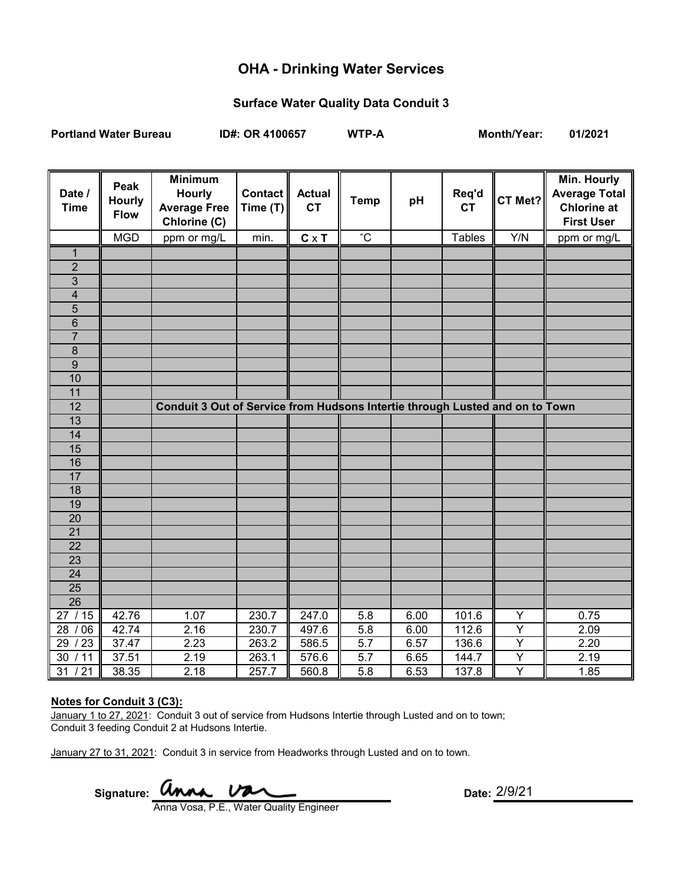# **OHA - Drinking Water Services**

### **Surface Water Quality Data Conduit 3**

**Portland Water Bureau ID#: OR 4100657 WTP-A Month/Year: 01/2021**

| Date /<br><b>Time</b> | Peak<br><b>Hourly</b><br><b>Flow</b> | <b>Minimum</b><br><b>Hourly</b><br><b>Average Free</b><br>Chlorine (C)       | <b>Contact</b><br>Time (T) | <b>Actual</b><br><b>CT</b> | <b>Temp</b>  | pH   | Req'd<br><b>CT</b> | CT Met?        | Min. Hourly<br><b>Average Total</b><br><b>Chlorine at</b><br><b>First User</b> |
|-----------------------|--------------------------------------|------------------------------------------------------------------------------|----------------------------|----------------------------|--------------|------|--------------------|----------------|--------------------------------------------------------------------------------|
|                       | <b>MGD</b>                           | ppm or mg/L                                                                  | min.                       | $C \times T$               | $^{\circ}$ C |      | <b>Tables</b>      | Y/N            | ppm or mg/L                                                                    |
| $\mathbf 1$           |                                      |                                                                              |                            |                            |              |      |                    |                |                                                                                |
| $\overline{2}$        |                                      |                                                                              |                            |                            |              |      |                    |                |                                                                                |
| 3                     |                                      |                                                                              |                            |                            |              |      |                    |                |                                                                                |
| $\overline{4}$        |                                      |                                                                              |                            |                            |              |      |                    |                |                                                                                |
| $\overline{5}$        |                                      |                                                                              |                            |                            |              |      |                    |                |                                                                                |
| $6\phantom{1}$        |                                      |                                                                              |                            |                            |              |      |                    |                |                                                                                |
| $\overline{7}$        |                                      |                                                                              |                            |                            |              |      |                    |                |                                                                                |
| $\overline{8}$        |                                      |                                                                              |                            |                            |              |      |                    |                |                                                                                |
| $\overline{9}$        |                                      |                                                                              |                            |                            |              |      |                    |                |                                                                                |
| 10                    |                                      |                                                                              |                            |                            |              |      |                    |                |                                                                                |
| 11                    |                                      |                                                                              |                            |                            |              |      |                    |                |                                                                                |
| 12                    |                                      | Conduit 3 Out of Service from Hudsons Intertie through Lusted and on to Town |                            |                            |              |      |                    |                |                                                                                |
| 13                    |                                      |                                                                              |                            |                            |              |      |                    |                |                                                                                |
| 14                    |                                      |                                                                              |                            |                            |              |      |                    |                |                                                                                |
| 15                    |                                      |                                                                              |                            |                            |              |      |                    |                |                                                                                |
| 16                    |                                      |                                                                              |                            |                            |              |      |                    |                |                                                                                |
| 17                    |                                      |                                                                              |                            |                            |              |      |                    |                |                                                                                |
| 18                    |                                      |                                                                              |                            |                            |              |      |                    |                |                                                                                |
| 19                    |                                      |                                                                              |                            |                            |              |      |                    |                |                                                                                |
| $\overline{20}$       |                                      |                                                                              |                            |                            |              |      |                    |                |                                                                                |
| $\overline{21}$       |                                      |                                                                              |                            |                            |              |      |                    |                |                                                                                |
| 22                    |                                      |                                                                              |                            |                            |              |      |                    |                |                                                                                |
| $\overline{23}$       |                                      |                                                                              |                            |                            |              |      |                    |                |                                                                                |
| 24                    |                                      |                                                                              |                            |                            |              |      |                    |                |                                                                                |
| 25                    |                                      |                                                                              |                            |                            |              |      |                    |                |                                                                                |
| $\overline{26}$       |                                      |                                                                              |                            |                            |              |      |                    |                |                                                                                |
| /15<br>27             | 42.76                                | 1.07                                                                         | 230.7                      | 247.0                      | 5.8          | 6.00 | 101.6              | Y              | 0.75                                                                           |
| /06<br>28             | 42.74                                | 2.16                                                                         | 230.7                      | 497.6                      | 5.8          | 6.00 | 112.6              | $\overline{Y}$ | 2.09                                                                           |
| /23<br>29             | 37.47                                | 2.23                                                                         | 263.2                      | 586.5                      | 5.7          | 6.57 | 136.6              | $\overline{Y}$ | 2.20                                                                           |
| /11<br>30             | 37.51                                | 2.19                                                                         | 263.1                      | 576.6                      | 5.7          | 6.65 | 144.7              | Y              | 2.19                                                                           |
| 31<br>/21             | 38.35                                | 2.18                                                                         | 257.7                      | 560.8                      | 5.8          | 6.53 | 137.8              | Y              | 1.85                                                                           |

### **Notes for Conduit 3 (C3):**

January 1 to 27, 2021: Conduit 3 out of service from Hudsons Intertie through Lusted and on to town; Conduit 3 feeding Conduit 2 at Hudsons Intertie.

January 27 to 31, 2021: Conduit 3 in service from Headworks through Lusted and on to town.

Signature: **UNAL UNAL** COME **Date:** 

Anna Vosa, P.E., Water Quality Engineer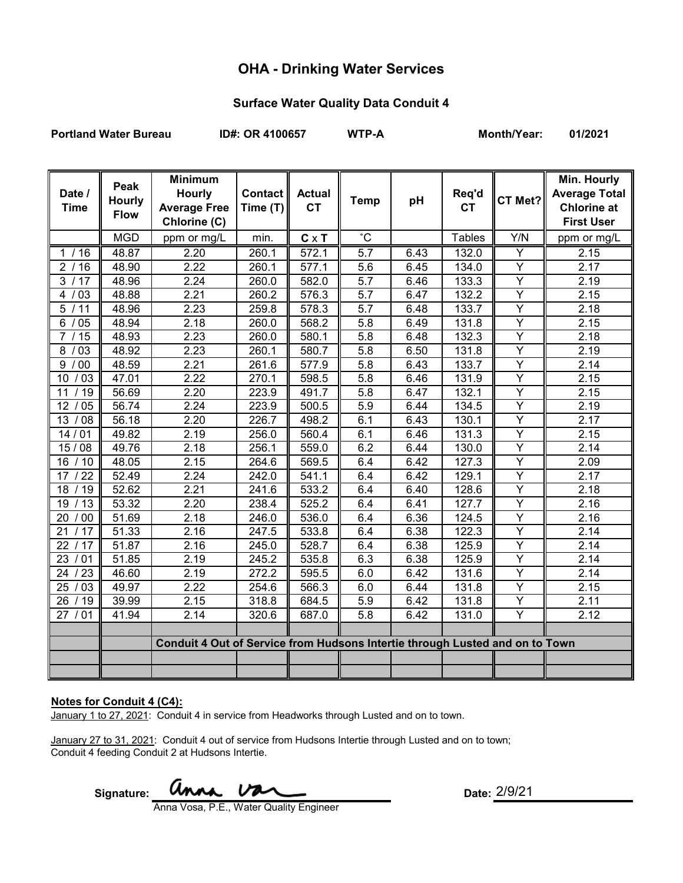# **OHA - Drinking Water Services**

### **Surface Water Quality Data Conduit 4**

**Portland Water Bureau ID#: OR 4100657 WTP-A Month/Year: 01/2021**

| Date /<br><b>Time</b> | Peak<br><b>Hourly</b><br><b>Flow</b> | <b>Minimum</b><br><b>Hourly</b><br><b>Average Free</b><br>Chlorine (C)       | <b>Contact</b><br>Time (T) | <b>Actual</b><br><b>CT</b> | <b>Temp</b>      | pH   | Req'd<br><b>CT</b> | CT Met?                 | Min. Hourly<br><b>Average Total</b><br><b>Chlorine at</b><br><b>First User</b> |
|-----------------------|--------------------------------------|------------------------------------------------------------------------------|----------------------------|----------------------------|------------------|------|--------------------|-------------------------|--------------------------------------------------------------------------------|
|                       | <b>MGD</b>                           | ppm or mg/L                                                                  | min.                       | $C \times T$               | °C               |      | <b>Tables</b>      | Y/N                     | ppm or mg/L                                                                    |
| 1/16                  | 48.87                                | 2.20                                                                         | 260.1                      | 572.1                      | $\overline{5.7}$ | 6.43 | 132.0              | Y                       | 2.15                                                                           |
| 2/16                  | 48.90                                | 2.22                                                                         | 260.1                      | 577.1                      | 5.6              | 6.45 | 134.0              | Ÿ                       | 2.17                                                                           |
| 3/17                  | 48.96                                | 2.24                                                                         | 260.0                      | 582.0                      | 5.7              | 6.46 | 133.3              | Y                       | 2.19                                                                           |
| 4/<br>03              | 48.88                                | 2.21                                                                         | 260.2                      | 576.3                      | 5.7              | 6.47 | 132.2              | Y                       | 2.15                                                                           |
| 5/11                  | 48.96                                | 2.23                                                                         | 259.8                      | 578.3                      | 5.7              | 6.48 | 133.7              | Y                       | 2.18                                                                           |
| 6<br>05               | 48.94                                | 2.18                                                                         | 260.0                      | 568.2                      | 5.8              | 6.49 | 131.8              | $\overline{Y}$          | 2.15                                                                           |
| $\overline{7}$<br>15  | 48.93                                | 2.23                                                                         | 260.0                      | 580.1                      | 5.8              | 6.48 | 132.3              | $\overline{Y}$          | 2.18                                                                           |
| $\overline{03}$<br>8  | 48.92                                | 2.23                                                                         | 260.1                      | 580.7                      | 5.8              | 6.50 | 131.8              | $\overline{\mathsf{Y}}$ | 2.19                                                                           |
| $00\,$<br>9           | 48.59                                | 2.21                                                                         | 261.6                      | 577.9                      | 5.8              | 6.43 | 133.7              | Ÿ                       | 2.14                                                                           |
| /03<br>10             | 47.01                                | 2.22                                                                         | 270.1                      | 598.5                      | 5.8              | 6.46 | 131.9              | $\overline{Y}$          | 2.15                                                                           |
| /19<br>11             | 56.69                                | 2.20                                                                         | 223.9                      | 491.7                      | 5.8              | 6.47 | 132.1              | Ÿ                       | 2.15                                                                           |
| /05<br>12             | 56.74                                | 2.24                                                                         | 223.9                      | 500.5                      | 5.9              | 6.44 | 134.5              | Ÿ                       | 2.19                                                                           |
| /08<br>13             | 56.18                                | 2.20                                                                         | 226.7                      | 498.2                      | 6.1              | 6.43 | 130.1              | Y                       | 2.17                                                                           |
| 14/01                 | 49.82                                | 2.19                                                                         | 256.0                      | 560.4                      | 6.1              | 6.46 | 131.3              | $\overline{Y}$          | 2.15                                                                           |
| 15/08                 | 49.76                                | 2.18                                                                         | 256.1                      | 559.0                      | 6.2              | 6.44 | 130.0              | $\overline{\mathsf{Y}}$ | 2.14                                                                           |
| /10<br>16             | 48.05                                | 2.15                                                                         | 264.6                      | 569.5                      | 6.4              | 6.42 | 127.3              | $\overline{\mathsf{Y}}$ | 2.09                                                                           |
| /22<br>17             | 52.49                                | 2.24                                                                         | 242.0                      | 541.1                      | 6.4              | 6.42 | 129.1              | $\overline{Y}$          | 2.17                                                                           |
| 18<br>/19             | 52.62                                | 2.21                                                                         | 241.6                      | 533.2                      | 6.4              | 6.40 | 128.6              | $\overline{Y}$          | 2.18                                                                           |
| /13<br>19             | 53.32                                | 2.20                                                                         | 238.4                      | 525.2                      | 6.4              | 6.41 | 127.7              | $\overline{\mathsf{Y}}$ | 2.16                                                                           |
| /00<br>20             | 51.69                                | 2.18                                                                         | 246.0                      | 536.0                      | 6.4              | 6.36 | 124.5              | $\overline{Y}$          | 2.16                                                                           |
| 21<br>/17             | 51.33                                | 2.16                                                                         | 247.5                      | 533.8                      | 6.4              | 6.38 | 122.3              | $\overline{Y}$          | 2.14                                                                           |
| 22<br>/17             | 51.87                                | 2.16                                                                         | 245.0                      | 528.7                      | 6.4              | 6.38 | 125.9              | Ÿ                       | 2.14                                                                           |
| 23<br>01              | 51.85                                | 2.19                                                                         | 245.2                      | 535.8                      | 6.3              | 6.38 | 125.9              | $\overline{\mathsf{Y}}$ | 2.14                                                                           |
| 23<br>24              | 46.60                                | 2.19                                                                         | 272.2                      | 595.5                      | 6.0              | 6.42 | 131.6              | Y                       | 2.14                                                                           |
| 25<br>03              | 49.97                                | 2.22                                                                         | 254.6                      | 566.3                      | 6.0              | 6.44 | 131.8              | Y                       | 2.15                                                                           |
| 26<br>/19             | 39.99                                | 2.15                                                                         | 318.8                      | 684.5                      | 5.9              | 6.42 | 131.8              | Y                       | 2.11                                                                           |
| 27 / 01               | 41.94                                | 2.14                                                                         | 320.6                      | 687.0                      | 5.8              | 6.42 | 131.0              | Y                       | 2.12                                                                           |
|                       |                                      |                                                                              |                            |                            |                  |      |                    |                         |                                                                                |
|                       |                                      | Conduit 4 Out of Service from Hudsons Intertie through Lusted and on to Town |                            |                            |                  |      |                    |                         |                                                                                |
|                       |                                      |                                                                              |                            |                            |                  |      |                    |                         |                                                                                |
|                       |                                      |                                                                              |                            |                            |                  |      |                    |                         |                                                                                |

#### **Notes for Conduit 4 (C4):**

January 1 to 27, 2021: Conduit 4 in service from Headworks through Lusted and on to town.

January 27 to 31, 2021: Conduit 4 out of service from Hudsons Intertie through Lusted and on to town; Conduit 4 feeding Conduit 2 at Hudsons Intertie.

Signature: **WINA VAL CALC CONTRACT CONTRACT Date:** 

Anna Vosa, P.E., Water Quality Engineer